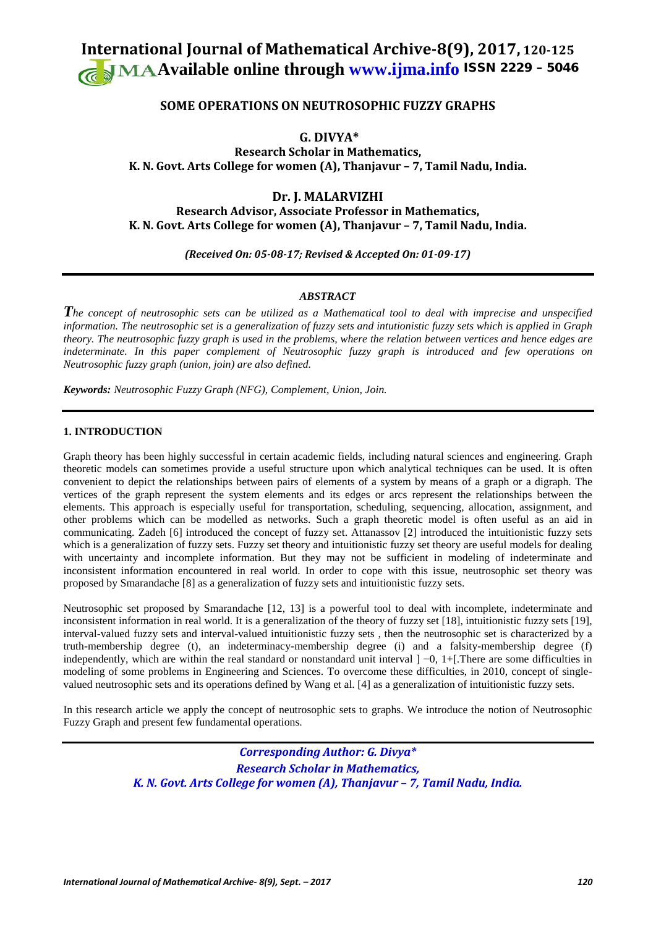# **International Journal of Mathematical Archive-8(9), 2017, 120-125 Available online through [www.ijma.info](http://www.ijma.info/)** ISSN 2229 – <sup>5046</sup>

## **SOME OPERATIONS ON NEUTROSOPHIC FUZZY GRAPHS**

**G. DIVYA\***

**Research Scholar in Mathematics, K. N. Govt. Arts College for women (A), Thanjavur – 7, Tamil Nadu, India.** 

**Dr. J. MALARVIZHI**

**Research Advisor, Associate Professor in Mathematics, K. N. Govt. Arts College for women (A), Thanjavur – 7, Tamil Nadu, India.**

*(Received On: 05-08-17; Revised & Accepted On: 01-09-17)*

## *ABSTRACT*

*The concept of neutrosophic sets can be utilized as a Mathematical tool to deal with imprecise and unspecified information. The neutrosophic set is a generalization of fuzzy sets and intutionistic fuzzy sets which is applied in Graph theory. The neutrosophic fuzzy graph is used in the problems, where the relation between vertices and hence edges are indeterminate. In this paper complement of Neutrosophic fuzzy graph is introduced and few operations on Neutrosophic fuzzy graph (union, join) are also defined.* 

*Keywords: Neutrosophic Fuzzy Graph (NFG), Complement, Union, Join.*

## **1. INTRODUCTION**

Graph theory has been highly successful in certain academic fields, including natural sciences and engineering. Graph theoretic models can sometimes provide a useful structure upon which analytical techniques can be used. It is often convenient to depict the relationships between pairs of elements of a system by means of a graph or a digraph. The vertices of the graph represent the system elements and its edges or arcs represent the relationships between the elements. This approach is especially useful for transportation, scheduling, sequencing, allocation, assignment, and other problems which can be modelled as networks. Such a graph theoretic model is often useful as an aid in communicating. Zadeh [6] introduced the concept of fuzzy set. Attanassov [2] introduced the intuitionistic fuzzy sets which is a generalization of fuzzy sets. Fuzzy set theory and intuitionistic fuzzy set theory are useful models for dealing with uncertainty and incomplete information. But they may not be sufficient in modeling of indeterminate and inconsistent information encountered in real world. In order to cope with this issue, neutrosophic set theory was proposed by Smarandache [8] as a generalization of fuzzy sets and intuitionistic fuzzy sets.

Neutrosophic set proposed by Smarandache [12, 13] is a powerful tool to deal with incomplete, indeterminate and inconsistent information in real world. It is a generalization of the theory of fuzzy set [18], intuitionistic fuzzy sets [19], interval-valued fuzzy sets and interval-valued intuitionistic fuzzy sets , then the neutrosophic set is characterized by a truth-membership degree (t), an indeterminacy-membership degree (i) and a falsity-membership degree (f) independently, which are within the real standard or nonstandard unit interval ] −0, 1+[.There are some difficulties in modeling of some problems in Engineering and Sciences. To overcome these difficulties, in 2010, concept of singlevalued neutrosophic sets and its operations defined by Wang et al. [4] as a generalization of intuitionistic fuzzy sets.

In this research article we apply the concept of neutrosophic sets to graphs. We introduce the notion of Neutrosophic Fuzzy Graph and present few fundamental operations.

> *Corresponding Author: G. Divya\* Research Scholar in Mathematics, K. N. Govt. Arts College for women (A), Thanjavur – 7, Tamil Nadu, India.*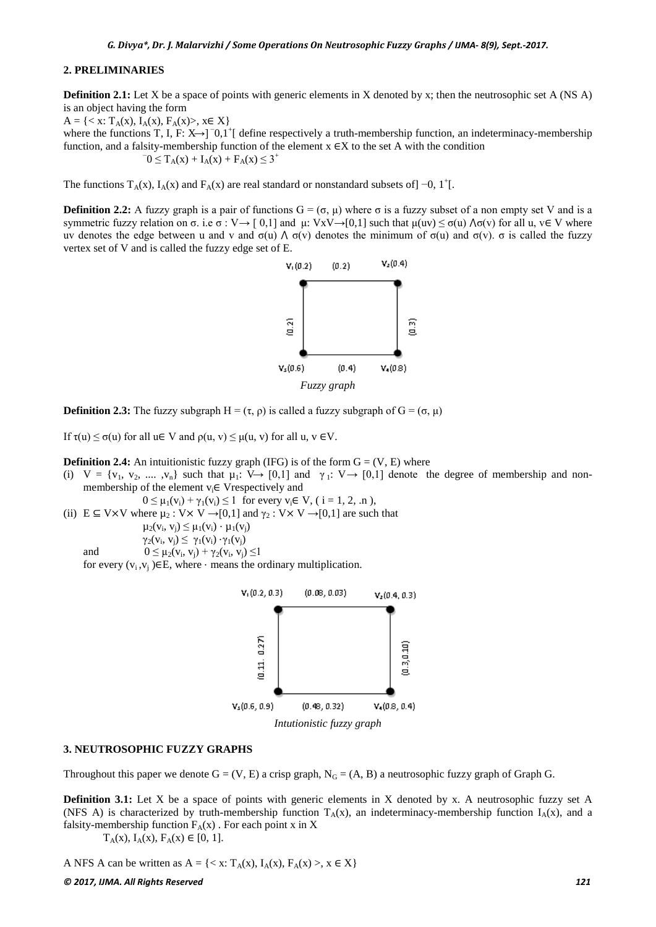#### **2. PRELIMINARIES**

**Definition 2.1:** Let X be a space of points with generic elements in X denoted by x; then the neutrosophic set A (NS A) is an object having the form

 $A = \{ \langle x : T_A(x), I_A(x), F_A(x) \rangle, x \in X \}$ where the functions T, I, F: X→]<sup>-</sup>0,1<sup>+</sup>[ define respectively a truth-membership function, an indeterminacy-membership function, and a falsity-membership function of the element  $x \in X$  to the set A with the condition  $-0 \le T_A(x) + I_A(x) + F_A(x) \le 3^+$ 

The functions  $T_A(x)$ ,  $I_A(x)$  and  $F_A(x)$  are real standard or nonstandard subsets of] -0, 1<sup>+</sup>[.

**Definition 2.2:** A fuzzy graph is a pair of functions  $G = (σ, μ)$  where  $σ$  is a fuzzy subset of a non empty set V and is a symmetric fuzzy relation on σ. i.e σ : V → [ 0,1] and μ: VxV → [0,1] such that  $\mu(uv) \leq \sigma(u) \wedge \sigma(v)$  for all u, v E V where uv denotes the edge between u and v and  $\sigma(u) \wedge \sigma(v)$  denotes the minimum of  $\sigma(u)$  and  $\sigma(v)$ .  $\sigma$  is called the fuzzy vertex set of V and is called the fuzzy edge set of E.



**Definition 2.3:** The fuzzy subgraph  $H = (\tau, \rho)$  is called a fuzzy subgraph of  $G = (\sigma, \mu)$ 

If  $\tau(u) \leq \sigma(u)$  for all  $u \in V$  and  $\rho(u, v) \leq \mu(u, v)$  for all  $u, v \in V$ .

**Definition 2.4:** An intuitionistic fuzzy graph (IFG) is of the form  $G = (V, E)$  where

(i)  $V = \{v_1, v_2, \dots, v_n\}$  such that  $\mu_1: V \rightarrow [0,1]$  and  $\gamma_1: V \rightarrow [0,1]$  denote the degree of membership and nonmembership of the element  $v_i \in V$ respectively and

 $0 \leq \mu_1(v_i) + \gamma_1(v_i) \leq 1$  for every  $v_i \in V$ , ( i = 1, 2, .n ), (ii)  $E \subseteq V \times V$  where  $\mu_2 : V \times V \rightarrow [0,1]$  and  $\gamma_2 : V \times V \rightarrow [0,1]$  are such that

 $\mu_2(v_i, v_j) \leq \mu_1(v_i) \cdot \mu_1(v_j)$ 

 $\gamma_2(v_i, v_i) \leq \gamma_1(v_i) \cdot \gamma_1(v_i)$ 

and 
$$
0 \le \mu_2(v_i, v_j) + \gamma_2(v_i, v_j) \le 1
$$

for every  $(v_i, v_j) \in E$ , where  $\cdot$  means the ordinary multiplication.



#### **3. NEUTROSOPHIC FUZZY GRAPHS**

Throughout this paper we denote  $G = (V, E)$  a crisp graph,  $N_G = (A, B)$  a neutrosophic fuzzy graph of Graph G.

**Definition 3.1:** Let X be a space of points with generic elements in X denoted by x. A neutrosophic fuzzy set A (NFS A) is characterized by truth-membership function  $T_A(x)$ , an indeterminacy-membership function  $I_A(x)$ , and a falsity-membership function  $F_A(x)$ . For each point x in X

 $T_{\Delta}(x)$ ,  $I_{\Delta}(x)$ ,  $F_{\Delta}(x) \in [0, 1]$ .

A NFS A can be written as  $A = \{ \langle x, T_A(x), I_A(x), F_A(x) \rangle, x \in X \}$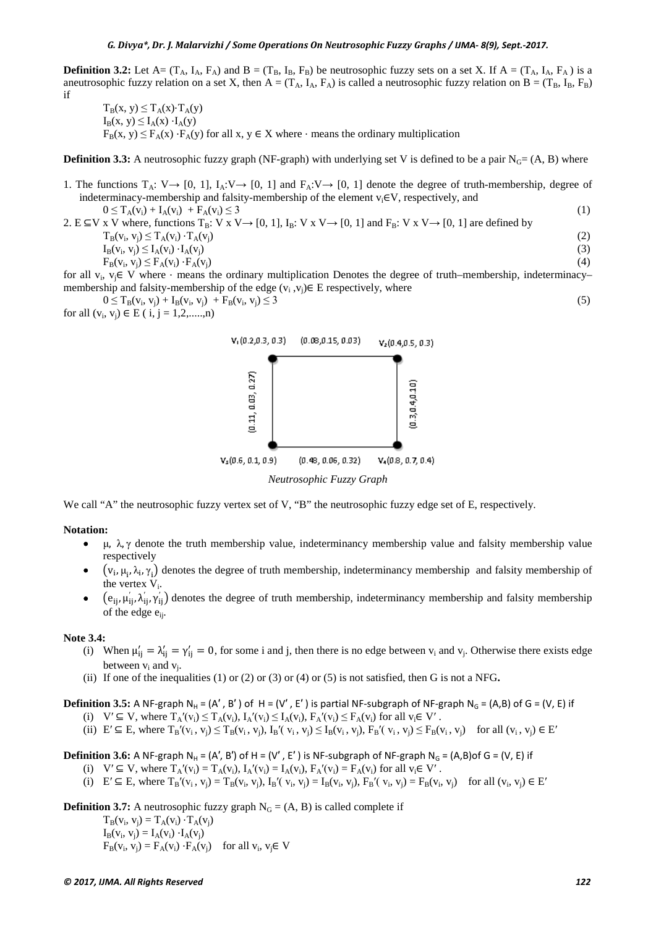**Definition 3.2:** Let A=  $(T_A, I_A, F_A)$  and B =  $(T_B, I_B, F_B)$  be neutrosophic fuzzy sets on a set X. If A =  $(T_A, I_A, F_A)$  is a aneutrosophic fuzzy relation on a set X, then  $A = (T_A, I_A, F_A)$  is called a neutrosophic fuzzy relation on  $B = (T_B, I_B, F_B)$ if

 $T_B(x, y) \leq T_A(x) \cdot T_A(y)$  $I_B(x, y) \leq I_A(x) \cdot I_A(y)$  $F_B(x, y) \le F_A(x) \cdot F_A(y)$  for all x, y  $\in X$  where  $\cdot$  means the ordinary multiplication

**Definition 3.3:** A neutrosophic fuzzy graph (NF-graph) with underlying set V is defined to be a pair  $N_G = (A, B)$  where

- 1. The functions  $T_A: V \rightarrow [0, 1], I_A: V \rightarrow [0, 1]$  and  $F_A: V \rightarrow [0, 1]$  denote the degree of truth-membership, degree of indeterminacy-membership and falsity-membership of the element  $v_i \in V$ , respectively, and  $0 \le T_A(v_i) + I_A(v_i) + F_A(v_i) \le 3$  (1)
- 2. E ⊆V x V where, functions  $T_B$ : V x V → [0, 1],  $I_B$ : V x V → [0, 1] and  $F_B$ : V x V → [0, 1] are defined by  $T_B(v_i, v_j) \le T_A(v_i) \cdot T_A(v_j)$ <br>  $I_B(v_i, v_i) \le I_A(v_i) \cdot I_A(v_j)$  (2)  $I_B(v_i, v_j) \le I_A(v_i) \cdot I_A(v_j)$ <br>  $F_B(v_i, v_i) \le F_A(v_i) \cdot F_A(v_i)$  (4)  $F_B(v_i, v_j) \le F_A(v_i) \cdot F_A(v_j)$  (4)

for all v<sub>i</sub>, v<sub>j</sub>∈ V where ⋅ means the ordinary multiplication Denotes the degree of truth–membership, indeterminacy– membership and falsity-membership of the edge  $(v_i, v_j) \in E$  respectively, where

 $0 \le T_B(v_i, v_j) + I_B(v_i, v_j) + F_B(v_i, v_j) \le 3$  (5)

for all  $(v_i, v_j) \in E$  ( i, j = 1,2,.....,n)



We call "A" the neutrosophic fuzzy vertex set of V, "B" the neutrosophic fuzzy edge set of E, respectively.

#### **Notation:**

- μ, λ, γ denote the truth membership value, indeterminancy membership value and falsity membership value respectively
- $\bullet$   $(v_i, \mu_i, \lambda_i, \gamma_i)$  denotes the degree of truth membership, indeterminancy membership and falsity membership of the vertex  $V_i$ .
- $\bullet$   $(e_{ij}, \mu'_{ij}, \lambda'_{ij}, \gamma'_{ij})$  denotes the degree of truth membership, indeterminancy membership and falsity membership of the edge e<sub>ii</sub>.

#### **Note 3.4:**

- (i) When  $\mu'_{ij} = \lambda'_{ij} = \gamma'_{ij} = 0$ , for some i and j, then there is no edge between  $v_i$  and  $v_j$ . Otherwise there exists edge between  $v_i$  and  $v_i$ .
- (ii) If one of the inequalities (1) or (2) or (3) or (4) or (5) is not satisfied, then G is not a NFG**.**

**Definition 3.5:** A NF-graph N<sub>H</sub> = (A', B') of H = (V', E') is partial NF-subgraph of NF-graph N<sub>G</sub> = (A,B) of G = (V, E) if

- (i)  $V' \subseteq V$ , where  $T_A'(v_i) \leq T_A(v_i)$ ,  $I_A'(v_i) \leq I_A(v_i)$ ,  $F_A'(v_i) \leq F_A(v_i)$  for all  $v_i \in V'$ .
- (ii)  $E' \subseteq E$ , where  $T_B'(v_i, v_j) \leq T_B(v_i, v_j)$ ,  $I_B'(v_i, v_j) \leq I_B(v_i, v_j)$ ,  $F_B'(v_i, v_j) \leq F_B(v_i, v_j)$  for all  $(v_i, v_j) \in E'$

## **Definition 3.6:** A NF-graph N<sub>H</sub> = (A', B') of H = (V', E') is NF-subgraph of NF-graph N<sub>G</sub> = (A,B)of G = (V, E) if

- (i)  $V' \subseteq V$ , where  $T_A'(v_i) = T_A(v_i)$ ,  $I_A'(v_i) = I_A(v_i)$ ,  $F_A'(v_i) = F_A(v_i)$  for all  $v_i \in V'$ .
- (i)  $E' \subseteq E$ , where  $T_B'(v_i, v_i) = T_B(v_i, v_i)$ ,  $I_B'(v_i, v_i) = I_B(v_i, v_i)$ ,  $F_B'(v_i, v_i) = F_B(v_i, v_i)$  for all  $(v_i, v_i) \in E'$

**Definition 3.7:** A neutrosophic fuzzy graph  $N_G = (A, B)$  is called complete if

 $T_B(v_i, v_i) = T_A(v_i) \cdot T_A(v_i)$  $I_B(v_i, v_i) = I_A(v_i) \cdot I_A(v_i)$  $F_B(v_i, v_j) = F_A(v_i) \cdot F_A(v_j)$  for all  $v_i, v_j \in V$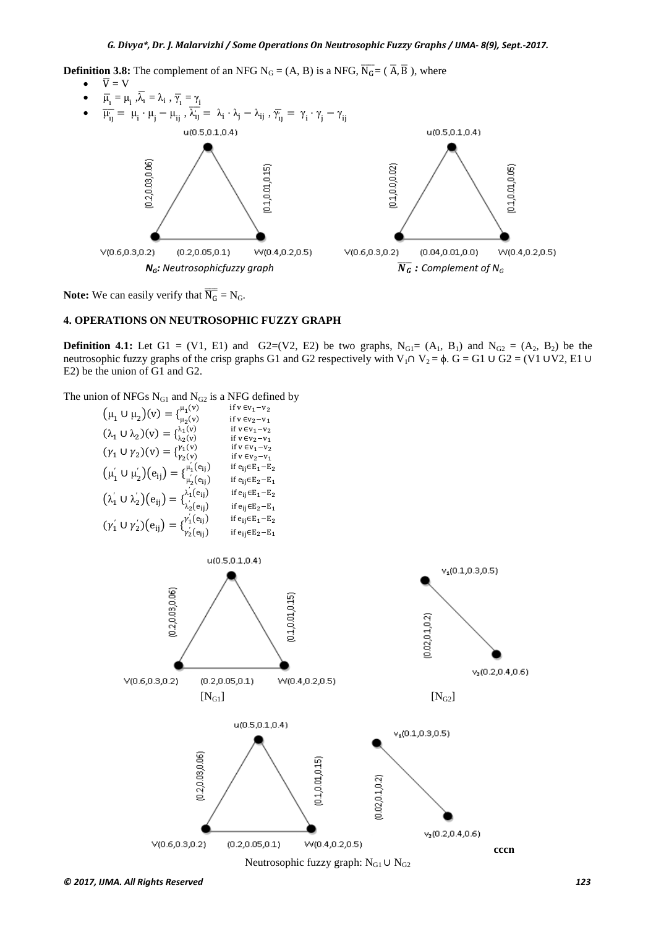**Definition 3.8:** The complement of an NFG N<sub>G</sub> = (A, B) is a NFG,  $\overline{N_G} = (\overline{A}, \overline{B})$ , where



**Note:** We can easily verify that  $\overline{N_G} = N_G$ .

## **4. OPERATIONS ON NEUTROSOPHIC FUZZY GRAPH**

**Definition 4.1:** Let G1 = (V1, E1) and G2=(V2, E2) be two graphs,  $N_{GI} = (A_1, B_1)$  and  $N_{G2} = (A_2, B_2)$  be the neutrosophic fuzzy graphs of the crisp graphs G1 and G2 respectively with V<sub>1</sub>∩ V<sub>2</sub> =  $\phi$ . G = G1 ∪ G2 = (V1 ∪V2, E1 ∪ E2) be the union of G1 and G2.

The union of NFGs N<sub>G1</sub> and N<sub>G2</sub> is a NFG defined by

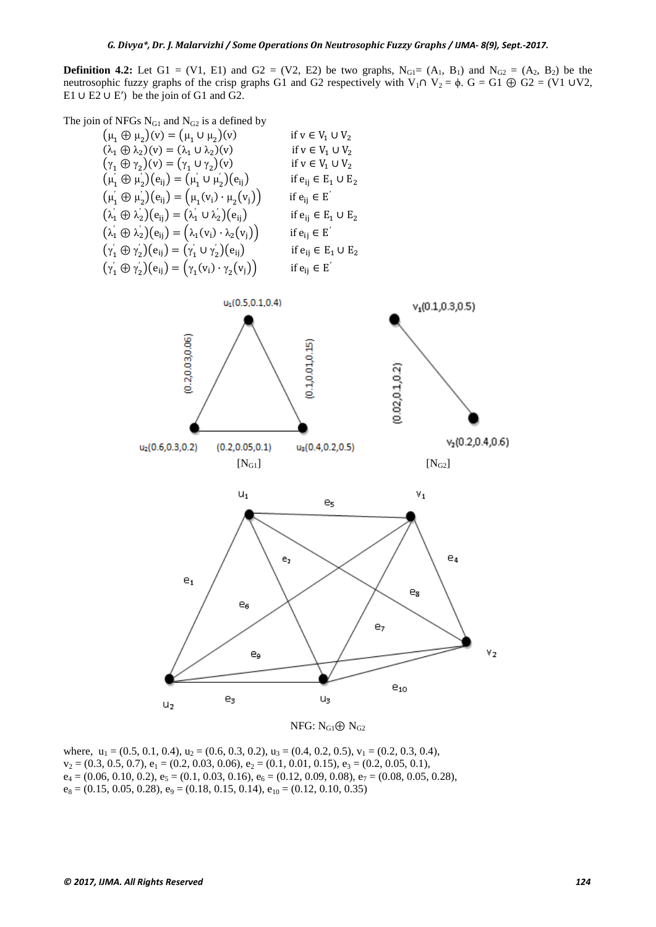**Definition 4.2:** Let G1 = (V1, E1) and G2 = (V2, E2) be two graphs,  $N_{G1} = (A_1, B_1)$  and  $N_{G2} = (A_2, B_2)$  be the neutrosophic fuzzy graphs of the crisp graphs G1 and G2 respectively with V<sub>1</sub>∩ V<sub>2</sub> =  $\phi$ . G = G1  $\oplus$  G2 = (V1 ∪V2, E1 ∪ E2 ∪ E′) be the join of G1 and G2.

The join of NFGs  $N_{G1}$  and  $N_{G2}$  is a defined by

| $(\mu_1 \oplus \mu_2)(v) = (\mu_1 \cup \mu_2)(v)$                                 | if $v \in V_1 \cup V_2$      |
|-----------------------------------------------------------------------------------|------------------------------|
| $(\lambda_1 \oplus \lambda_2)(v) = (\lambda_1 \cup \lambda_2)(v)$                 | if $v \in V_1 \cup V_2$      |
| $(\gamma_1 \oplus \gamma_2)(v) = (\gamma_1 \cup \gamma_2)(v)$                     | if $v \in V_1 \cup V_2$      |
| $(\mu_1' \oplus \mu_2')(e_{ij}) = (\mu_1' \cup \mu_2')(e_{ij})$                   | if $e_{ij} \in E_1 \cup E_2$ |
| $(\mu'_1 \oplus \mu'_2)(e_{ij}) = (\mu_1(v_i) \cdot \mu_2(v_j))$                  | if $e_{ij} \in E'$           |
| $(\lambda'_1 \oplus \lambda'_2)(e_{ij}) = (\lambda'_1 \cup \lambda'_2)(e_{ij})$   | if $e_{ij} \in E_1 \cup E_2$ |
| $(\lambda'_1 \oplus \lambda'_2)(e_{ij}) = (\lambda_1(v_i) \cdot \lambda_2(v_j))$  | if $e_{ii} \in E'$           |
| $(\gamma_1' \oplus \gamma_2')$ $(e_{ij}) = (\gamma_1' \cup \gamma_2')$ $(e_{ij})$ | if $e_{ij} \in E_1 \cup E_2$ |
| $(\gamma_1' \oplus \gamma_2')(e_{ij}) = (\gamma_1(v_i) \cdot \gamma_2(v_j))$      | if $e_{ij} \in E'$           |
|                                                                                   |                              |



NFG:  $N_{G1} \oplus N_{G2}$ 

where,  $u_1 = (0.5, 0.1, 0.4), u_2 = (0.6, 0.3, 0.2), u_3 = (0.4, 0.2, 0.5), v_1 = (0.2, 0.3, 0.4),$  $v_2 = (0.3, 0.5, 0.7), e_1 = (0.2, 0.03, 0.06), e_2 = (0.1, 0.01, 0.15), e_3 = (0.2, 0.05, 0.1),$  $e_4 = (0.06, 0.10, 0.2), e_5 = (0.1, 0.03, 0.16), e_6 = (0.12, 0.09, 0.08), e_7 = (0.08, 0.05, 0.28),$  $e_8 = (0.15, 0.05, 0.28), e_9 = (0.18, 0.15, 0.14), e_{10} = (0.12, 0.10, 0.35)$